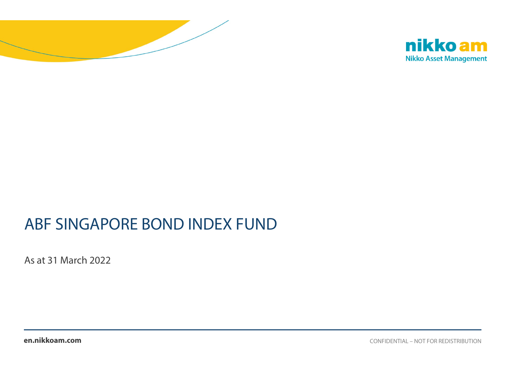



# ABF SINGAPORE BOND INDEX FUND

As at 31 March 2022

**en.nikkoam.com**

CONFIDENTIAL – NOT FOR REDISTRIBUTION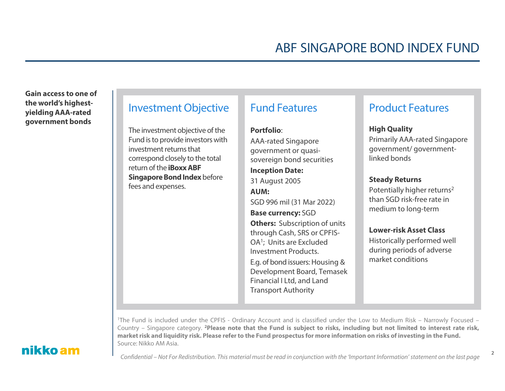**Gain access to one of the world's highestyielding AAA-rated government bonds**

#### Investment Objective

The investment objective of the Fund is to provide investors with investment returns that correspond closely to the total return of the **iBoxx ABF Singapore Bond Index** before fees and expenses.

### Fund Features

#### **Portfolio**:

AAA-rated Singapore government or quasisovereign bond securities **Inception Date:**  31 August 2005 **AUM:** SGD 996 mil (31 Mar 2022) **Base currency:** SGD **Others: Subscription of units** through Cash, SRS or CPFIS-OA1; Units are Excluded Investment Products. E.g. of bond issuers: Housing & Development Board, Temasek Financial I Ltd, and Land Transport Authority

### Product Features

#### **High Quality**

Primarily AAA-rated Singapore government/ governmentlinked bonds

#### **Steady Returns**

Potentially higher returns2 than SGD risk-free rate in medium to long-term

#### **Lower-risk Asset Class**

Historically performed well during periods of adverse market conditions

2

1The Fund is included under the CPFIS - Ordinary Account and is classified under the Low to Medium Risk – Narrowly Focused – Country – Singapore category. <sup>2</sup>Please note that the Fund is subject to risks, including but not limited to interest rate risk, market risk and liquidity risk. Please refer to the Fund prospectus for more information on risks of investing in the Fund. Source: Nikko AM Asia.

### nikko am

Confidential – Not For Redistribution. This material must be read in conjunction with the 'Important Information' statement on the last page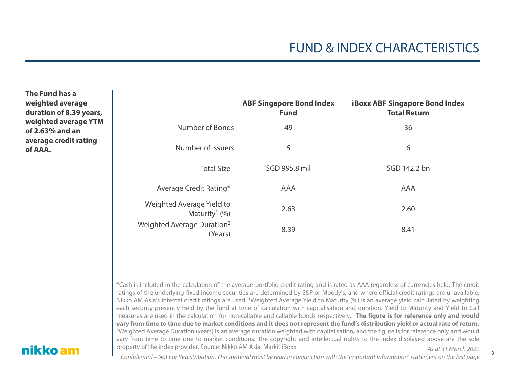3

**The Fund has a weighted average duration of 8.39 years, weighted average YTM of 2.63% and an average credit rating of AAA.**

|                                                          | <b>ABF Singapore Bond Index</b><br><b>Fund</b> | <b>iBoxx ABF Singapore Bond Index</b><br><b>Total Return</b> |
|----------------------------------------------------------|------------------------------------------------|--------------------------------------------------------------|
| Number of Bonds                                          | 49                                             | 36                                                           |
| Number of Issuers                                        | 5                                              | 6                                                            |
| <b>Total Size</b>                                        | SGD 995.8 mil                                  | SGD 142.2 bn                                                 |
| Average Credit Rating*                                   | <b>AAA</b>                                     | AAA                                                          |
| Weighted Average Yield to<br>Maturity <sup>1</sup> $(%)$ | 2.63                                           | 2.60                                                         |
| Weighted Average Duration <sup>2</sup><br>(Years)        | 8.39                                           | 8.41                                                         |

As at 31 March 2022\*Cash is included in the calculation of the average portfolio credit rating and is rated as AAA regardless of currencies held. The credit ratings of the underlying fixed income securities are determined by S&P or Moody's, and where official credit ratings are unavailable, Nikko AM Asia's internal credit ratings are used. <sup>1</sup>Weighted Average Yield to Maturity (%) is an average yield calculated by weighting each security presently held by the fund at time of calculation with capitalisation and duration. Yield to Maturity and Yield to Call measures are used in the calculation for non-callable and callable bonds respectively. The figure is for reference only and would vary from time to time due to market conditions and it does not represent the fund's distribution yield or actual rate of return. 2Weighted Average Duration (years) is an average duration weighted with capitalisation, and the figure is for reference only and would vary from time to time due to market conditions. The copyright and intellectual rights to the index displayed above are the sole property of the index provider. Source: Nikko AM Asia, Markit iBoxx.

### nikko am

Confidential – Not For Redistribution. This material must be read in conjunction with the 'Important Information' statement on the last page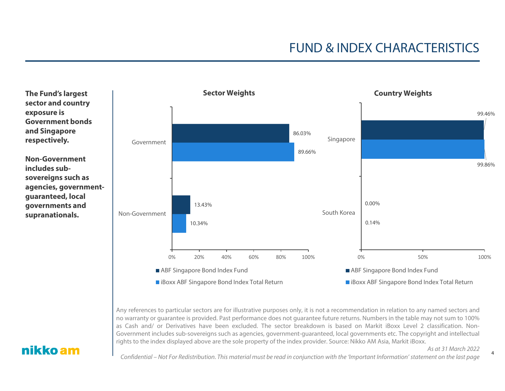**The Fund's largest sector and country exposure is Government bonds and Singapore respectively.**

**Non-Government includes subsovereigns such as agencies, governmentguaranteed, local governments and supranationals.**



Any references to particular sectors are for illustrative purposes only, it is not <sup>a</sup> recommendation in relation to any named sectors and no warranty or guarantee is provided. Past performance does not guarantee future returns. Numbers in the table may not sum to 100% as Cash and/ or Derivatives have been excluded. The sector breakdown is based on Markit iBoxx Level 2 classification. Non-Government includes sub-sovereigns such as agencies, government-guaranteed, local governments etc. The copyright and intellectual rights to the index displayed above are the sole property of the index provider. Source: Nikko AM Asia, Markit iBoxx.

#### nikko am

Confidential – Not For Redistribution. This material must be read in conjunction with the 'Important Information' statement on the last page

As at 31 March 20224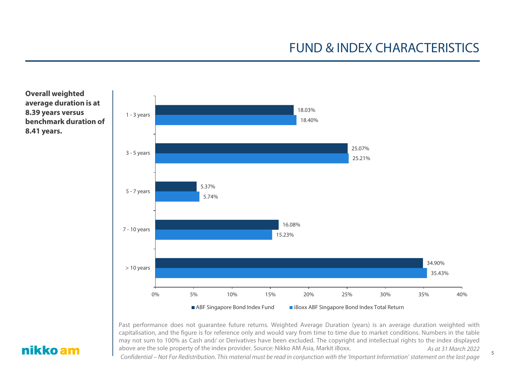



As at 31 March 2022 Past performance does not guarantee future returns. Weighted Average Duration (years) is an average duration weighted with capitalisation, and the figure is for reference only and would vary from time to time due to market conditions. Numbers in the table may not sum to 100% as Cash and/ or Derivatives have been excluded. The copyright and intellectual rights to the index displayed above are the sole property of the index provider. Source: Nikko AM Asia, Markit iBoxx.

### nikko am

Confidential – Not For Redistribution. This material must be read in conjunction with the 'Important Information' statement on the last page

5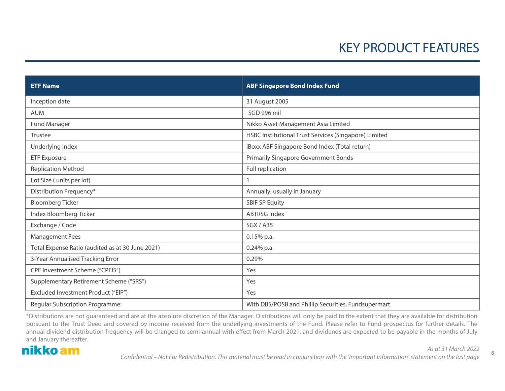# KEY PRODUCT FEATURES

| <b>ETF Name</b>                                  | <b>ABF Singapore Bond Index Fund</b>                  |
|--------------------------------------------------|-------------------------------------------------------|
| Inception date                                   | 31 August 2005                                        |
| <b>AUM</b>                                       | SGD 996 mil                                           |
| Fund Manager                                     | Nikko Asset Management Asia Limited                   |
| Trustee                                          | HSBC Institutional Trust Services (Singapore) Limited |
| Underlying Index                                 | iBoxx ABF Singapore Bond Index (Total return)         |
| <b>ETF Exposure</b>                              | <b>Primarily Singapore Government Bonds</b>           |
| <b>Replication Method</b>                        | Full replication                                      |
| Lot Size (units per lot)                         |                                                       |
| Distribution Frequency*                          | Annually, usually in January                          |
| <b>Bloomberg Ticker</b>                          | <b>SBIF SP Equity</b>                                 |
| Index Bloomberg Ticker                           | <b>ABTRSG Index</b>                                   |
| Exchange / Code                                  | <b>SGX/A35</b>                                        |
| <b>Management Fees</b>                           | $0.15%$ p.a.                                          |
| Total Expense Ratio (audited as at 30 June 2021) | $0.24\%$ p.a.                                         |
| 3-Year Annualised Tracking Error                 | 0.29%                                                 |
| CPF Investment Scheme ("CPFIS")                  | Yes                                                   |
| Supplementary Retirement Scheme ("SRS")          | Yes                                                   |
| Excluded Investment Product ("EIP")              | Yes                                                   |
| Regular Subscription Programme:                  | With DBS/POSB and Phillip Securities, Fundsupermart   |

\*Distributions are not guaranteed and are at the absolute discretion of the Manager. Distributions will only be paid to the extent that they are available for distribution pursuant to the Trust Deed and covered by income received from the underlying investments of the Fund. Please refer to Fund prospectus for further details. The annual dividend distribution frequency will be changed to semi-annual with effect from March 2021, and dividends are expected to be payable in the months of July and January thereafter.

### nikko am

Confidential – Not For Redistribution. This material must be read in conjunction with the 'Important Information' statement on the last page

6

As at 31 March 2022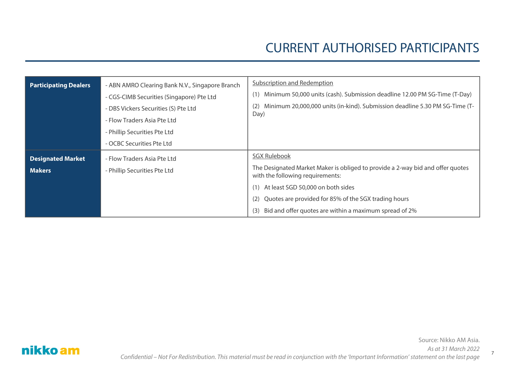7

| <b>Participating Dealers</b>              | - ABN AMRO Clearing Bank N.V., Singapore Branch<br>- CGS-CIMB Securities (Singapore) Pte Ltd<br>- DBS Vickers Securities (S) Pte Ltd<br>- Flow Traders Asia Pte Ltd<br>- Phillip Securities Pte Ltd<br>- OCBC Securities Pte Ltd | <b>Subscription and Redemption</b><br>Minimum 50,000 units (cash). Submission deadline 12.00 PM SG-Time (T-Day)<br>Minimum 20,000,000 units (in-kind). Submission deadline 5.30 PM SG-Time (T-<br>(2)<br>Day)                                                                                                      |
|-------------------------------------------|----------------------------------------------------------------------------------------------------------------------------------------------------------------------------------------------------------------------------------|--------------------------------------------------------------------------------------------------------------------------------------------------------------------------------------------------------------------------------------------------------------------------------------------------------------------|
| <b>Designated Market</b><br><b>Makers</b> | - Flow Traders Asia Pte Ltd<br>- Phillip Securities Pte Ltd                                                                                                                                                                      | <b>SGX Rulebook</b><br>The Designated Market Maker is obliged to provide a 2-way bid and offer quotes<br>with the following requirements:<br>(1) At least SGD 50,000 on both sides<br>Quotes are provided for 85% of the SGX trading hours<br>(2)<br>Bid and offer quotes are within a maximum spread of 2%<br>(3) |

nikko am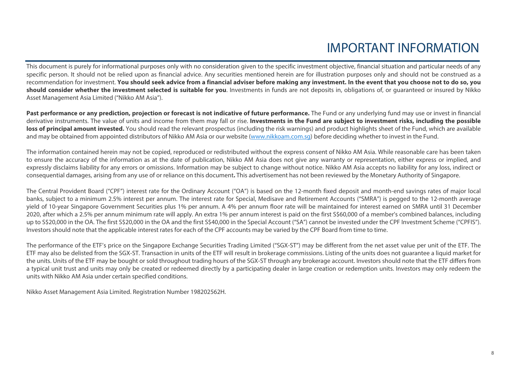# IMPORTANT INFORMATION

This document is purely for informational purposes only with no consideration given to the specific investment objective, financial situation and particular needs of any specific person. It should not be relied upon as financial advice. Any securities mentioned herein are for illustration purposes only and should not be construed as a recommendation for investment. **You should seek advice from a financial adviser before making any investment. In the event that you choose not to do so, you** should consider whether the investment selected is suitable for you. Investments in funds are not deposits in, obligations of, or quaranteed or insured by Nikko Asset Management Asia Limited ("Nikko AM Asia").

Past performance or any prediction, projection or forecast is not indicative of future performance. The Fund or any underlying fund may use or invest in financial derivative instruments. The value of units and income from them may fall or rise. Investments in the Fund are subject to investment risks, including the possible loss of principal amount invested. You should read the relevant prospectus (including the risk warnings) and product highlights sheet of the Fund, which are available and may be obtained from appointed distributors of Nikko AM Asia or our website (www.nikkoam.com.sg) before deciding whether to invest in the Fund.

The information contained herein may not be copied, reproduced or redistributed without the express consent of Nikko AM Asia. While reasonable care has been taken to ensure the accuracy of the information as at the date of publication, Nikko AM Asia does not give any warranty or representation, either express or implied, and expressly disclaims liability for any errors or omissions. Information may be subject to change without notice. Nikko AM Asia accepts no liability for any loss, indirect or consequential damages, arising from any use of or reliance on this document**.** This advertisement has not been reviewed by the Monetary Authority of Singapore.

The Central Provident Board ("CPF") interest rate for the Ordinary Account ("OA") is based on the 12-month fixed deposit and month-end savings rates of major local banks, subject to <sup>a</sup> minimum 2.5% interest per annum. The interest rate for Special, Medisave and Retirement Accounts ("SMRA") is pegged to the 12-month average yield of 10-year Singapore Government Securities plus 1% per annum. A 4% per annum floor rate will be maintained for interest earned on SMRA until 31 December 2020, after which a 2.5% per annum minimum rate will apply. An extra 1% per annum interest is paid on the first S\$60,000 of a member's combined balances, including up to S\$20,000 in the OA. The first S\$20,000 in the OA and the first S\$40,000 in the Special Account ("SA") cannot be invested under the CPF Investment Scheme ("CPFIS"). Investors should note that the applicable interest rates for each of the CPF accounts may be varied by the CPF Board from time to time.

The performance of the ETF's price on the Singapore Exchange Securities Trading Limited ("SGX-ST") may be different from the net asset value per unit of the ETF. The ETF may also be delisted from the SGX-ST. Transaction in units of the ETF will result in brokerage commissions. Listing of the units does not guarantee <sup>a</sup> liquid market for the units. Units of the ETF may be bought or sold throughout trading hours of the SGX-ST through any brokerage account. Investors should note that the ETF differs from a typical unit trust and units may only be created or redeemed directly by a participating dealer in large creation or redemption units. Investors may only redeem the units with Nikko AM Asia under certain specified conditions.

Nikko Asset Management Asia Limited. Registration Number 198202562H.